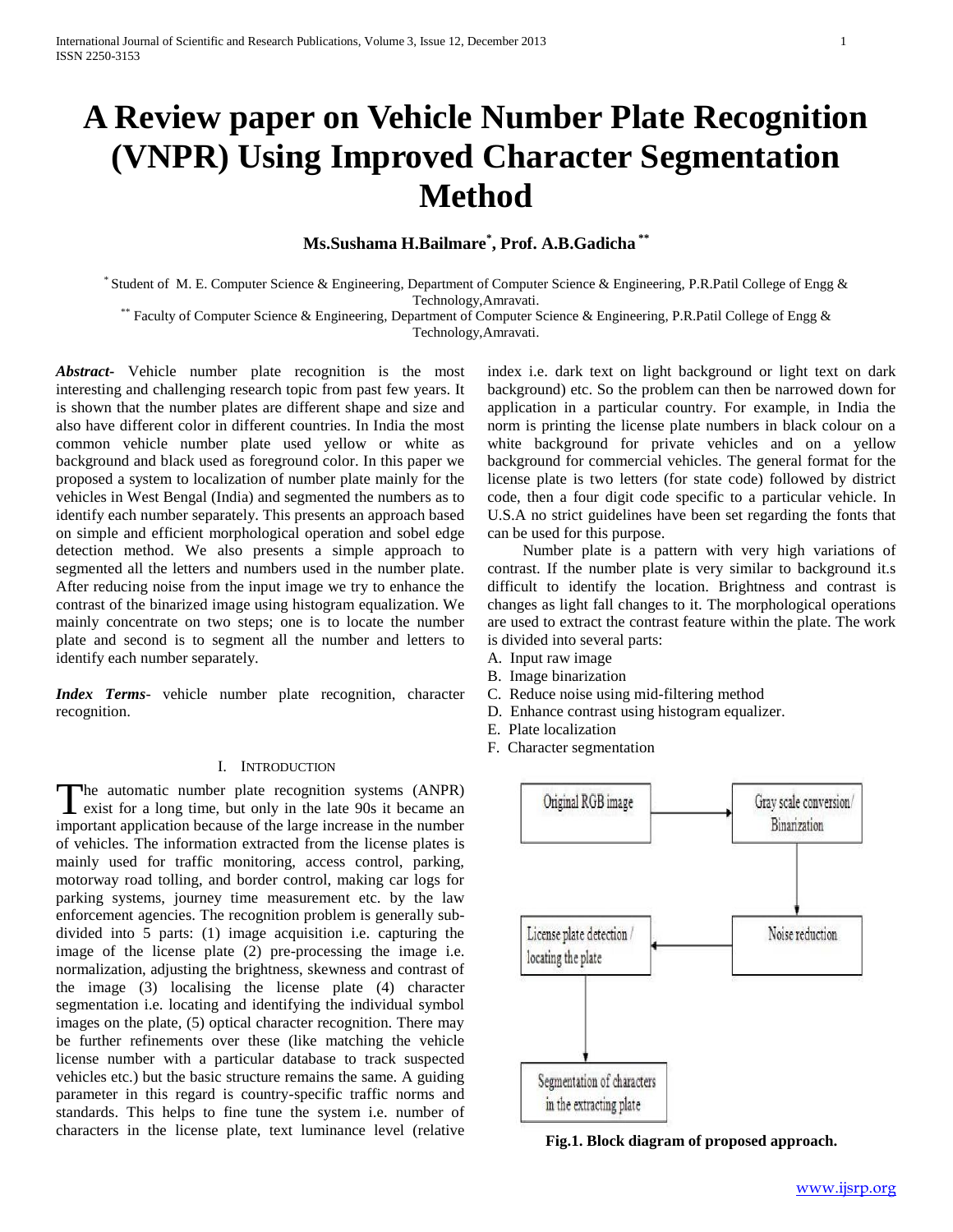# **A Review paper on Vehicle Number Plate Recognition (VNPR) Using Improved Character Segmentation Method**

## **Ms.Sushama H.Bailmare\* , Prof. A.B.Gadicha \*\***

\* Student of M. E. Computer Science & Engineering, Department of Computer Science & Engineering, P.R.Patil College of Engg & Technology,Amravati.

\*\* Faculty of Computer Science & Engineering, Department of Computer Science & Engineering, P.R.Patil College of Engg & Technology,Amravati.

*Abstract***-** Vehicle number plate recognition is the most interesting and challenging research topic from past few years. It is shown that the number plates are different shape and size and also have different color in different countries. In India the most common vehicle number plate used yellow or white as background and black used as foreground color. In this paper we proposed a system to localization of number plate mainly for the vehicles in West Bengal (India) and segmented the numbers as to identify each number separately. This presents an approach based on simple and efficient morphological operation and sobel edge detection method. We also presents a simple approach to segmented all the letters and numbers used in the number plate. After reducing noise from the input image we try to enhance the contrast of the binarized image using histogram equalization. We mainly concentrate on two steps; one is to locate the number plate and second is to segment all the number and letters to identify each number separately.

*Index Terms*- vehicle number plate recognition, character recognition.

### I. INTRODUCTION

he automatic number plate recognition systems (ANPR) The automatic number plate recognition systems (ANPR) exist for a long time, but only in the late 90s it became an important application because of the large increase in the number of vehicles. The information extracted from the license plates is mainly used for traffic monitoring, access control, parking, motorway road tolling, and border control, making car logs for parking systems, journey time measurement etc. by the law enforcement agencies. The recognition problem is generally subdivided into 5 parts: (1) image acquisition i.e. capturing the image of the license plate (2) pre-processing the image i.e. normalization, adjusting the brightness, skewness and contrast of the image (3) localising the license plate (4) character segmentation i.e. locating and identifying the individual symbol images on the plate, (5) optical character recognition. There may be further refinements over these (like matching the vehicle license number with a particular database to track suspected vehicles etc.) but the basic structure remains the same. A guiding parameter in this regard is country-specific traffic norms and standards. This helps to fine tune the system i.e. number of characters in the license plate, text luminance level (relative

index i.e. dark text on light background or light text on dark background) etc. So the problem can then be narrowed down for application in a particular country. For example, in India the norm is printing the license plate numbers in black colour on a white background for private vehicles and on a yellow background for commercial vehicles. The general format for the license plate is two letters (for state code) followed by district code, then a four digit code specific to a particular vehicle. In U.S.A no strict guidelines have been set regarding the fonts that can be used for this purpose.

 Number plate is a pattern with very high variations of contrast. If the number plate is very similar to background it.s difficult to identify the location. Brightness and contrast is changes as light fall changes to it. The morphological operations are used to extract the contrast feature within the plate. The work is divided into several parts:

- A. Input raw image
- B. Image binarization
- C. Reduce noise using mid-filtering method
- D. Enhance contrast using histogram equalizer.
- E. Plate localization
- F. Character segmentation



**Fig.1. Block diagram of proposed approach.**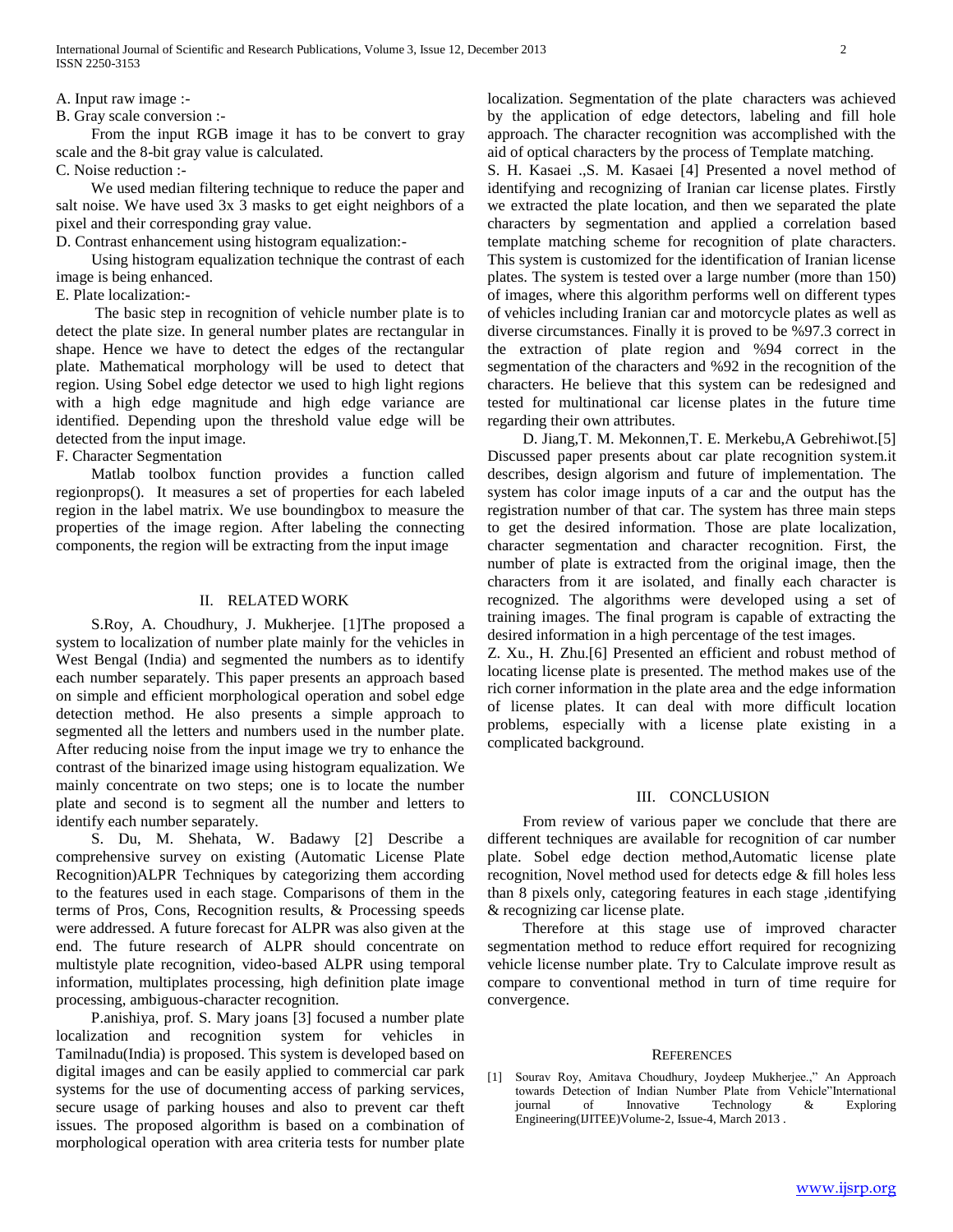A. Input raw image :-

B. Gray scale conversion :-

 From the input RGB image it has to be convert to gray scale and the 8-bit gray value is calculated.

C. Noise reduction :-

 We used median filtering technique to reduce the paper and salt noise. We have used 3x 3 masks to get eight neighbors of a pixel and their corresponding gray value.

D. Contrast enhancement using histogram equalization:-

 Using histogram equalization technique the contrast of each image is being enhanced.

E. Plate localization:-

 The basic step in recognition of vehicle number plate is to detect the plate size. In general number plates are rectangular in shape. Hence we have to detect the edges of the rectangular plate. Mathematical morphology will be used to detect that region. Using Sobel edge detector we used to high light regions with a high edge magnitude and high edge variance are identified. Depending upon the threshold value edge will be detected from the input image.

F. Character Segmentation

 Matlab toolbox function provides a function called regionprops(). It measures a set of properties for each labeled region in the label matrix. We use boundingbox to measure the properties of the image region. After labeling the connecting components, the region will be extracting from the input image

#### II. RELATED WORK

 S.Roy, A. Choudhury, J. Mukherjee. [1]The proposed a system to localization of number plate mainly for the vehicles in West Bengal (India) and segmented the numbers as to identify each number separately. This paper presents an approach based on simple and efficient morphological operation and sobel edge detection method. He also presents a simple approach to segmented all the letters and numbers used in the number plate. After reducing noise from the input image we try to enhance the contrast of the binarized image using histogram equalization. We mainly concentrate on two steps; one is to locate the number plate and second is to segment all the number and letters to identify each number separately.

 S. Du, M. Shehata, W. Badawy [2] Describe a comprehensive survey on existing (Automatic License Plate Recognition)ALPR Techniques by categorizing them according to the features used in each stage. Comparisons of them in the terms of Pros, Cons, Recognition results, & Processing speeds were addressed. A future forecast for ALPR was also given at the end. The future research of ALPR should concentrate on multistyle plate recognition, video-based ALPR using temporal information, multiplates processing, high definition plate image processing, ambiguous-character recognition.

 P.anishiya, prof. S. Mary joans [3] focused a number plate localization and recognition system for vehicles in Tamilnadu(India) is proposed. This system is developed based on digital images and can be easily applied to commercial car park systems for the use of documenting access of parking services, secure usage of parking houses and also to prevent car theft issues. The proposed algorithm is based on a combination of morphological operation with area criteria tests for number plate localization. Segmentation of the plate characters was achieved by the application of edge detectors, labeling and fill hole approach. The character recognition was accomplished with the aid of optical characters by the process of Template matching.

S. H. Kasaei .,S. M. Kasaei [4] Presented a novel method of identifying and recognizing of Iranian car license plates. Firstly we extracted the plate location, and then we separated the plate characters by segmentation and applied a correlation based template matching scheme for recognition of plate characters. This system is customized for the identification of Iranian license plates. The system is tested over a large number (more than 150) of images, where this algorithm performs well on different types of vehicles including Iranian car and motorcycle plates as well as diverse circumstances. Finally it is proved to be %97.3 correct in the extraction of plate region and %94 correct in the segmentation of the characters and %92 in the recognition of the characters. He believe that this system can be redesigned and tested for multinational car license plates in the future time regarding their own attributes.

 D. Jiang,T. M. Mekonnen,T. E. Merkebu,A Gebrehiwot.[5] Discussed paper presents about car plate recognition system.it describes, design algorism and future of implementation. The system has color image inputs of a car and the output has the registration number of that car. The system has three main steps to get the desired information. Those are plate localization, character segmentation and character recognition. First, the number of plate is extracted from the original image, then the characters from it are isolated, and finally each character is recognized. The algorithms were developed using a set of training images. The final program is capable of extracting the desired information in a high percentage of the test images.

Z. Xu., H. Zhu.[6] Presented an efficient and robust method of locating license plate is presented. The method makes use of the rich corner information in the plate area and the edge information of license plates. It can deal with more difficult location problems, especially with a license plate existing in a complicated background.

#### III. CONCLUSION

 From review of various paper we conclude that there are different techniques are available for recognition of car number plate. Sobel edge dection method,Automatic license plate recognition, Novel method used for detects edge & fill holes less than 8 pixels only, categoring features in each stage ,identifying & recognizing car license plate.

 Therefore at this stage use of improved character segmentation method to reduce effort required for recognizing vehicle license number plate. Try to Calculate improve result as compare to conventional method in turn of time require for convergence.

#### **REFERENCES**

[1] Sourav Roy, Amitava Choudhury, Joydeep Mukherjee.," An Approach towards Detection of Indian Number Plate from Vehicle"International journal of Innovative Technology & Exploring Engineering(IJITEE)Volume-2, Issue-4, March 2013 .